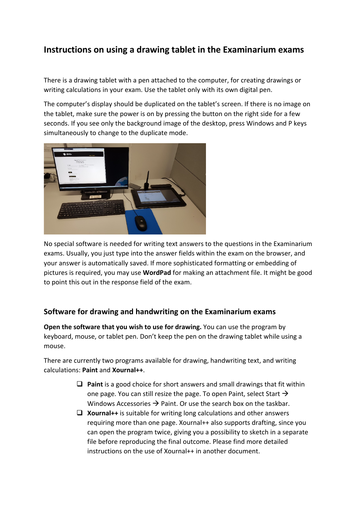## **Instructions on using a drawing tablet in the Examinarium exams**

There is a drawing tablet with a pen attached to the computer, for creating drawings or writing calculations in your exam. Use the tablet only with its own digital pen.

The computer's display should be duplicated on the tablet's screen. If there is no image on the tablet, make sure the power is on by pressing the button on the right side for a few seconds. If you see only the background image of the desktop, press Windows and P keys simultaneously to change to the duplicate mode.



No special software is needed for writing text answers to the questions in the Examinarium exams. Usually, you just type into the answer fields within the exam on the browser, and your answer is automatically saved. If more sophisticated formatting or embedding of pictures is required, you may use **WordPad** for making an attachment file. It might be good to point this out in the response field of the exam.

## **Software for drawing and handwriting on the Examinarium exams**

**Open the software that you wish to use for drawing.** You can use the program by keyboard, mouse, or tablet pen. Don't keep the pen on the drawing tablet while using a mouse.

There are currently two programs available for drawing, handwriting text, and writing calculations: **Paint** and **Xournal++**.

- $\Box$  **Paint** is a good choice for short answers and small drawings that fit within one page. You can still resize the page. To open Paint, select Start  $\rightarrow$ Windows Accessories  $\rightarrow$  Paint. Or use the search box on the taskbar.
- **□ Xournal++** is suitable for writing long calculations and other answers requiring more than one page. Xournal++ also supports drafting, since you can open the program twice, giving you a possibility to sketch in a separate file before reproducing the final outcome. Please find more detailed instructions on the use of Xournal++ in another document.